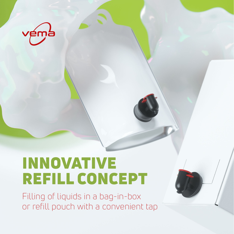

# INNOVATIVE REFILL CONCEPT

Filling of liquids in a bag-in-box or refill pouch with a convenient tap

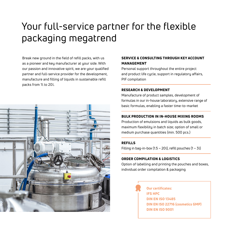# Your full-service partner for the flexible packaging megatrend

Break new ground in the field of refill packs, with us as a pioneer and key manufacturer at your side. With our passion and innovative spirit, we are your qualified partner and full-service provider for the development, manufacture and filling of liquids in sustainable refill packs from 1l to 20l.



### SERVICE & CONSULTING THROUGH KEY ACCOUNT MANAGEMENT

Personal support throughout the entire project and product life cucle, support in regulatory affairs, PIF compilation

#### RESEARCH & DEVELOPMENT

Manufacture of product samples, development of formulas in our in-house laboratory, extensive range of basic formulas, enabling a faster time-to-market

#### BULK PRODUCTION IN IN-HOUSE MIXING ROOMS

Production of emulsions and liquids as bulk goods, maximum flexibility in batch size; option of small or medium purchase quantities (min. 500 pcs.)

#### REFILLS

Filling in bag-in-box (1.5 – 20l), refill pouches (1 – 3l)

### ORDER COMPILATION & LOGISTICS

Option of labelling and printing the pouches and boxes, individual order compilation & packaging

> Our certificates: IFS HPC DIN EN ISO 13485 DIN EN ISO 22716 (cosmetics GMP) DIN EN ISO 9001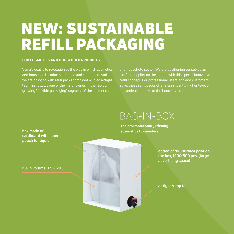# NEW: SUSTAINABLE REFILL PACKAGING

#### FOR COSMETICS AND HOUSEHOLD PRODUCTS

Vema's goal is to revolutionise the way in which cosmetics and household products are used and consumed. And we are doing so with refill packs combined with an airtight tap. This follows one of the major trends in the rapidly growing "flexible packaging" segment of the cosmetics

and household sector. We are positioning ourselves as the first supplier on the market with this special innovative refill concept. For professional users and end customers alike, these refill packs offer a significantly higher level of convenience thanks to the innovative tap.

## BAG-IN-BOX

The environmentally friendly alternative to canisters

> **option of full-surface print on the box, MOQ 500 pcs. (large advertising space)**

**airtight Vitop tap**

**box made of cardboard with inner pouch for liquid**

**fill-in volume: 1.5 – 20l**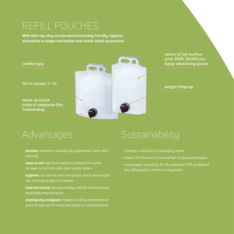# REFILL POUCHES

With their tap, they are the environmentally friendly, hygienic alternative to single-use bottles and classic stand-up pouches



Advantages

- durable: maximum storage life guaranteed, even after opening
- easy to use: tap turns easily to release the liquid; no need to turn the refill pack upside down
- $\cdot$  hygienic: air cannot enter the pouch due to the airtight tap, preventing germ formation
- tried and tested: already widely used for food products, especially wine and juice
- $\cdot$  intelligently designed: makes a striking impression at point of sale and in brand and product communication

## Sustainability

- dramatic reduction of packaging waste
- lower CO2 footprint in comparison to glass and plastic
- encourages recycling: B-I-B comprises 75% cardboard and 25% plastic; the box is recyclable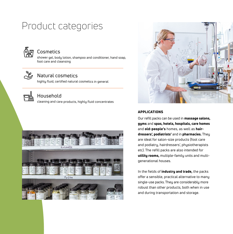## Product categories



### **Cosmetics**

shower gel, body lotion, shampoo and conditioner, hand soap, foot care and cleansing



### Natural cosmetics

highly fluid, certified natural cosmetics in general



### Household

cleaning and care products, highly fluid concentrates





### APPLICATIONS

Our refill packs can be used in massage salons, gyms and spas, hotels, hospitals, care homes and old-people's homes, as well as hairdressers', podiatrists' and in pharmacies. They are ideal for salon-size products (foot care and podiatry, hairdressers', physiotherapists etc). The refill packs are also intended for utility rooms, multiple-family units and multigenerational houses.

In the fields of *industry* and trade, the packs offer a sensible, practical alternative to many single-use packs. They are considerably more robust than other products, both when in use and during transportation and storage.